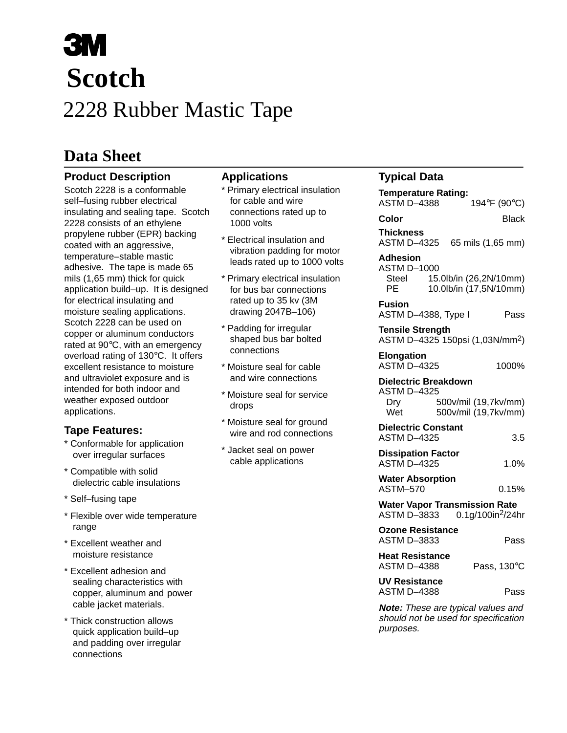# 2228 Rubber Mastic Tape **Scotch**

## **Data Sheet**

### **Product Description**

Scotch 2228 is a conformable self–fusing rubber electrical insulating and sealing tape. Scotch 2228 consists of an ethylene propylene rubber (EPR) backing coated with an aggressive, temperature–stable mastic adhesive. The tape is made 65 mils (1,65 mm) thick for quick application build–up. It is designed for electrical insulating and moisture sealing applications. Scotch 2228 can be used on copper or aluminum conductors rated at 90°C, with an emergency overload rating of 130°C. It offers excellent resistance to moisture and ultraviolet exposure and is intended for both indoor and weather exposed outdoor applications.

#### **Tape Features:**

- \* Conformable for application over irregular surfaces
- \* Compatible with solid dielectric cable insulations
- \* Self–fusing tape
- \* Flexible over wide temperature range
- \* Excellent weather and moisture resistance
- \* Excellent adhesion and sealing characteristics with copper, aluminum and power cable jacket materials.
- \* Thick construction allows quick application build–up and padding over irregular connections

#### **Applications**

- \* Primary electrical insulation for cable and wire connections rated up to 1000 volts
- \* Electrical insulation and vibration padding for motor leads rated up to 1000 volts
- \* Primary electrical insulation for bus bar connections rated up to 35 kv (3M drawing 2047B–106)
- \* Padding for irregular shaped bus bar bolted connections
- \* Moisture seal for cable and wire connections
- \* Moisture seal for service drops
- \* Moisture seal for ground wire and rod connections
- \* Jacket seal on power cable applications

### **Typical Data**

| <b>Temperature Rating:</b>                                                 |  |                                                  |
|----------------------------------------------------------------------------|--|--------------------------------------------------|
| ASTM D–4388                                                                |  | 194°F (90°C)                                     |
| Color                                                                      |  | Black                                            |
| <b>Thickness</b><br>ASTM D-4325 65 mils (1,65 mm)                          |  |                                                  |
| <b>Adhesion</b><br>ASTM D-1000<br><b>Steel</b><br>РE                       |  | 15.0lb/in (26,2N/10mm)<br>10.0lb/in (17,5N/10mm) |
| <b>Fusion</b><br>ASTM D-4388, Type I                                       |  | Pass                                             |
| <b>Tensile Strength</b><br>ASTM D-4325 150psi (1,03N/mm <sup>2</sup> )     |  |                                                  |
| <b>Elongation</b><br><b>ASTM D-4325</b>                                    |  | 1000%                                            |
| <b>Dielectric Breakdown</b><br><b>ASTM D-4325</b><br>Dry<br>Wet            |  | 500v/mil (19,7kv/mm)<br>500v/mil (19,7kv/mm)     |
| <b>Dielectric Constant</b><br><b>ASTM D-4325</b>                           |  | 3.5                                              |
| <b>Dissipation Factor</b><br><b>ASTM D-4325</b>                            |  | 1.0%                                             |
| <b>Water Absorption</b><br>ASTM-570                                        |  | 0.15%                                            |
| <b>Water Vapor Transmission Rate</b><br>ASTM D-3833                        |  | 0.1g/100in <sup>2</sup> /24hr                    |
| <b>Ozone Resistance</b><br>ASTM D-3833                                     |  | Pass                                             |
| <b>Heat Resistance</b><br><b>ASTM D-4388</b>                               |  | Pass, 130°C                                      |
| <b>UV Resistance</b><br><b>ASTM D-4388</b>                                 |  | Pass                                             |
| Note: These are typical values and<br>should not be used for specification |  |                                                  |

purposes.